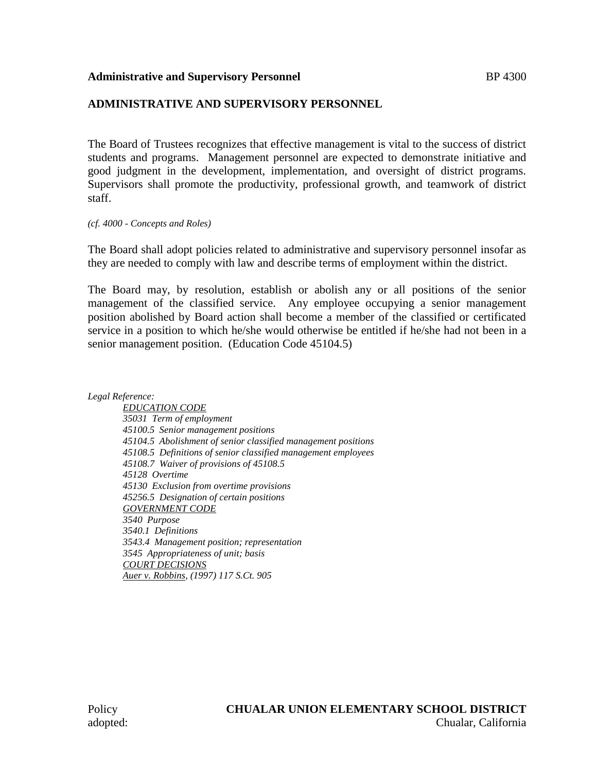#### **Administrative and Supervisory Personnel Administrative and Supervisory Personnel Administrative Administrative**

## **ADMINISTRATIVE AND SUPERVISORY PERSONNEL**

The Board of Trustees recognizes that effective management is vital to the success of district students and programs. Management personnel are expected to demonstrate initiative and good judgment in the development, implementation, and oversight of district programs. Supervisors shall promote the productivity, professional growth, and teamwork of district staff.

#### *(cf. 4000 - Concepts and Roles)*

The Board shall adopt policies related to administrative and supervisory personnel insofar as they are needed to comply with law and describe terms of employment within the district.

The Board may, by resolution, establish or abolish any or all positions of the senior management of the classified service. Any employee occupying a senior management position abolished by Board action shall become a member of the classified or certificated service in a position to which he/she would otherwise be entitled if he/she had not been in a senior management position. (Education Code 45104.5)

*Legal Reference:*

*EDUCATION CODE 35031 Term of employment 45100.5 Senior management positions 45104.5 Abolishment of senior classified management positions 45108.5 Definitions of senior classified management employees 45108.7 Waiver of provisions of 45108.5 45128 Overtime 45130 Exclusion from overtime provisions 45256.5 Designation of certain positions GOVERNMENT CODE 3540 Purpose 3540.1 Definitions 3543.4 Management position; representation 3545 Appropriateness of unit; basis COURT DECISIONS Auer v. Robbins, (1997) 117 S.Ct. 905*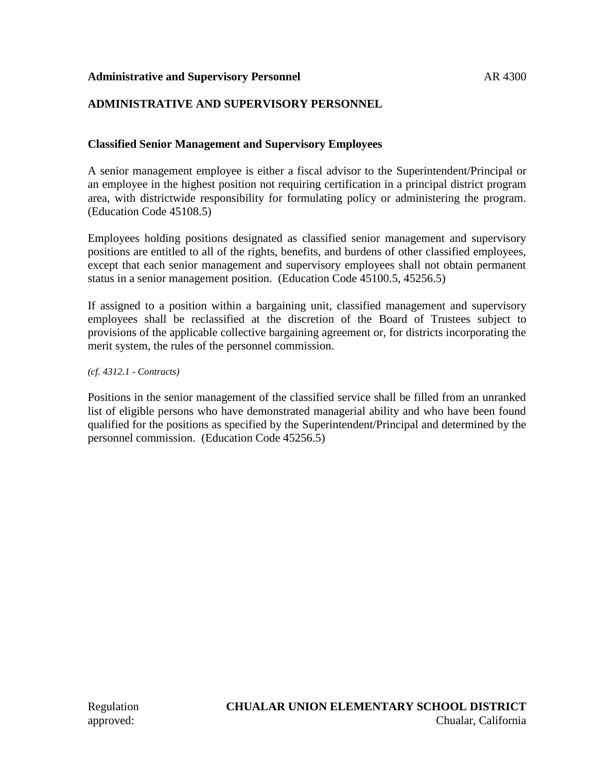## **Administrative and Supervisory Personnel AR 4300 AR 4300**

# **ADMINISTRATIVE AND SUPERVISORY PERSONNEL**

## **Classified Senior Management and Supervisory Employees**

A senior management employee is either a fiscal advisor to the Superintendent/Principal or an employee in the highest position not requiring certification in a principal district program area, with districtwide responsibility for formulating policy or administering the program. (Education Code 45108.5)

Employees holding positions designated as classified senior management and supervisory positions are entitled to all of the rights, benefits, and burdens of other classified employees, except that each senior management and supervisory employees shall not obtain permanent status in a senior management position. (Education Code 45100.5, 45256.5)

If assigned to a position within a bargaining unit, classified management and supervisory employees shall be reclassified at the discretion of the Board of Trustees subject to provisions of the applicable collective bargaining agreement or, for districts incorporating the merit system, the rules of the personnel commission.

*(cf. 4312.1 - Contracts)*

Positions in the senior management of the classified service shall be filled from an unranked list of eligible persons who have demonstrated managerial ability and who have been found qualified for the positions as specified by the Superintendent/Principal and determined by the personnel commission. (Education Code 45256.5)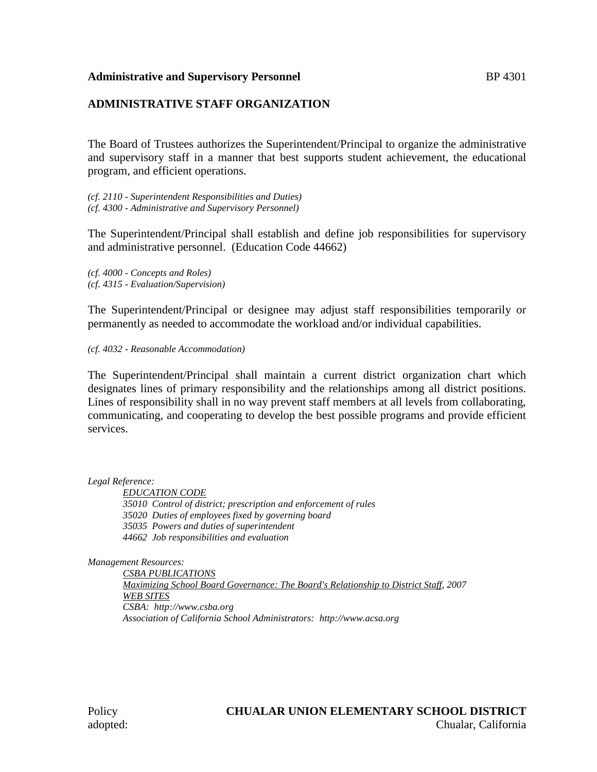#### **Administrative and Supervisory Personnel Administrative and Supervisory Personnel Administrative Administrative**

## **ADMINISTRATIVE STAFF ORGANIZATION**

The Board of Trustees authorizes the Superintendent/Principal to organize the administrative and supervisory staff in a manner that best supports student achievement, the educational program, and efficient operations.

*(cf. 2110 - Superintendent Responsibilities and Duties) (cf. 4300 - Administrative and Supervisory Personnel)*

The Superintendent/Principal shall establish and define job responsibilities for supervisory and administrative personnel. (Education Code 44662)

*(cf. 4000 - Concepts and Roles) (cf. 4315 - Evaluation/Supervision)*

The Superintendent/Principal or designee may adjust staff responsibilities temporarily or permanently as needed to accommodate the workload and/or individual capabilities.

*(cf. 4032 - Reasonable Accommodation)*

The Superintendent/Principal shall maintain a current district organization chart which designates lines of primary responsibility and the relationships among all district positions. Lines of responsibility shall in no way prevent staff members at all levels from collaborating, communicating, and cooperating to develop the best possible programs and provide efficient services.

*Legal Reference:*

*EDUCATION CODE 35010 Control of district; prescription and enforcement of rules 35020 Duties of employees fixed by governing board 35035 Powers and duties of superintendent 44662 Job responsibilities and evaluation*

*Management Resources:*

*CSBA PUBLICATIONS Maximizing School Board Governance: The Board's Relationship to District Staff, 2007 WEB SITES CSBA: http://www.csba.org Association of California School Administrators: http://www.acsa.org*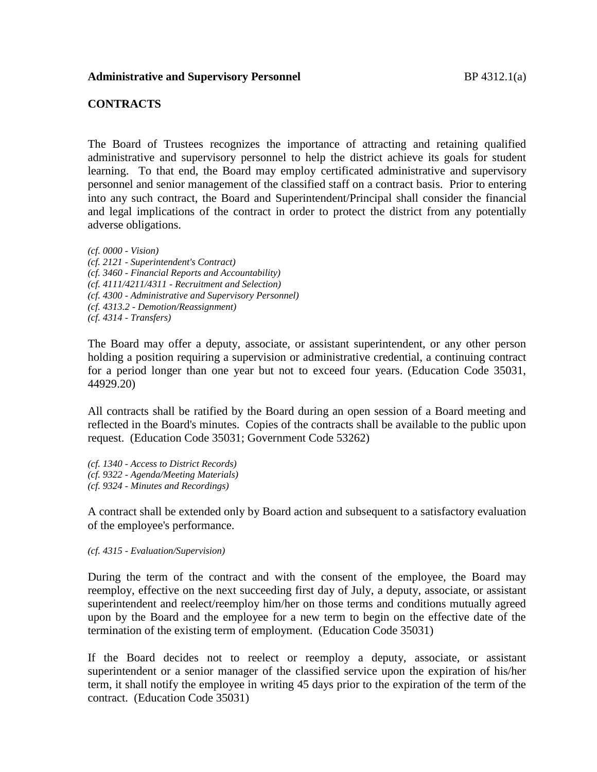## **CONTRACTS**

The Board of Trustees recognizes the importance of attracting and retaining qualified administrative and supervisory personnel to help the district achieve its goals for student learning. To that end, the Board may employ certificated administrative and supervisory personnel and senior management of the classified staff on a contract basis. Prior to entering into any such contract, the Board and Superintendent/Principal shall consider the financial and legal implications of the contract in order to protect the district from any potentially adverse obligations.

*(cf. 0000 - Vision) (cf. 2121 - Superintendent's Contract) (cf. 3460 - Financial Reports and Accountability) (cf. 4111/4211/4311 - Recruitment and Selection) (cf. 4300 - Administrative and Supervisory Personnel) (cf. 4313.2 - Demotion/Reassignment) (cf. 4314 - Transfers)*

The Board may offer a deputy, associate, or assistant superintendent, or any other person holding a position requiring a supervision or administrative credential, a continuing contract for a period longer than one year but not to exceed four years. (Education Code 35031, 44929.20)

All contracts shall be ratified by the Board during an open session of a Board meeting and reflected in the Board's minutes. Copies of the contracts shall be available to the public upon request. (Education Code 35031; Government Code 53262)

*(cf. 1340 - Access to District Records) (cf. 9322 - Agenda/Meeting Materials)*

*(cf. 9324 - Minutes and Recordings)*

A contract shall be extended only by Board action and subsequent to a satisfactory evaluation of the employee's performance.

#### *(cf. 4315 - Evaluation/Supervision)*

During the term of the contract and with the consent of the employee, the Board may reemploy, effective on the next succeeding first day of July, a deputy, associate, or assistant superintendent and reelect/reemploy him/her on those terms and conditions mutually agreed upon by the Board and the employee for a new term to begin on the effective date of the termination of the existing term of employment. (Education Code 35031)

If the Board decides not to reelect or reemploy a deputy, associate, or assistant superintendent or a senior manager of the classified service upon the expiration of his/her term, it shall notify the employee in writing 45 days prior to the expiration of the term of the contract. (Education Code 35031)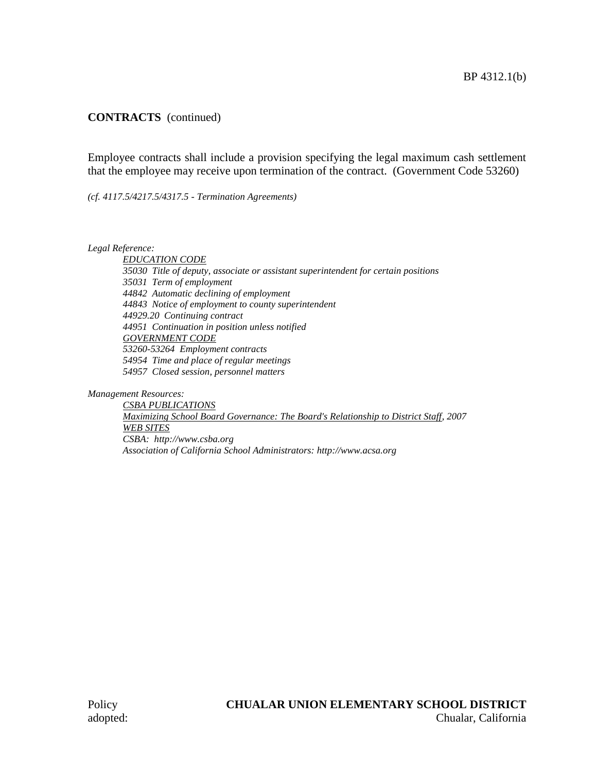# **CONTRACTS** (continued)

Employee contracts shall include a provision specifying the legal maximum cash settlement that the employee may receive upon termination of the contract. (Government Code 53260)

*(cf. 4117.5/4217.5/4317.5 - Termination Agreements)*

*Legal Reference:*

*EDUCATION CODE 35030 Title of deputy, associate or assistant superintendent for certain positions 35031 Term of employment 44842 Automatic declining of employment 44843 Notice of employment to county superintendent 44929.20 Continuing contract 44951 Continuation in position unless notified GOVERNMENT CODE 53260-53264 Employment contracts 54954 Time and place of regular meetings 54957 Closed session, personnel matters*

*Management Resources:*

*CSBA PUBLICATIONS Maximizing School Board Governance: The Board's Relationship to District Staff, 2007 WEB SITES CSBA: http://www.csba.org Association of California School Administrators: http://www.acsa.org*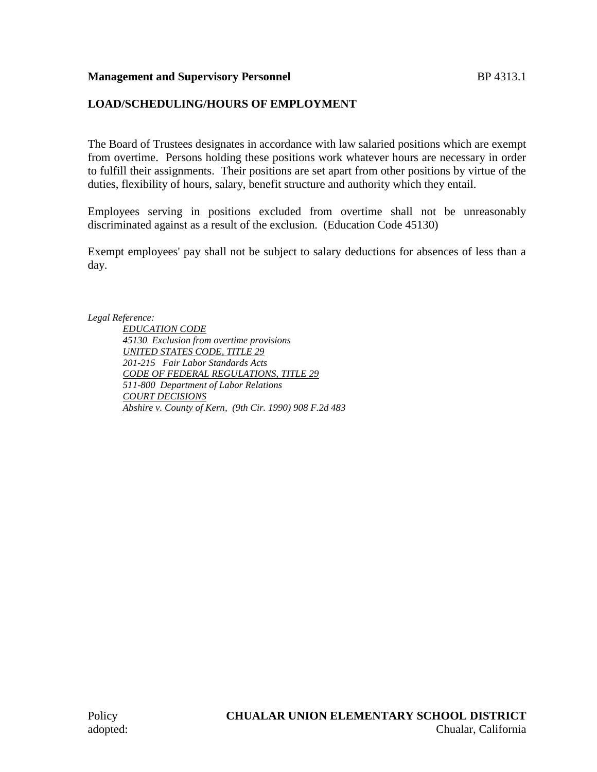# **Management and Supervisory Personnel BP 4313.1**

# **LOAD/SCHEDULING/HOURS OF EMPLOYMENT**

The Board of Trustees designates in accordance with law salaried positions which are exempt from overtime. Persons holding these positions work whatever hours are necessary in order to fulfill their assignments. Their positions are set apart from other positions by virtue of the duties, flexibility of hours, salary, benefit structure and authority which they entail.

Employees serving in positions excluded from overtime shall not be unreasonably discriminated against as a result of the exclusion. (Education Code 45130)

Exempt employees' pay shall not be subject to salary deductions for absences of less than a day.

*Legal Reference:*

*EDUCATION CODE 45130 Exclusion from overtime provisions UNITED STATES CODE, TITLE 29 201-215 Fair Labor Standards Acts CODE OF FEDERAL REGULATIONS, TITLE 29 511-800 Department of Labor Relations COURT DECISIONS Abshire v. County of Kern, (9th Cir. 1990) 908 F.2d 483*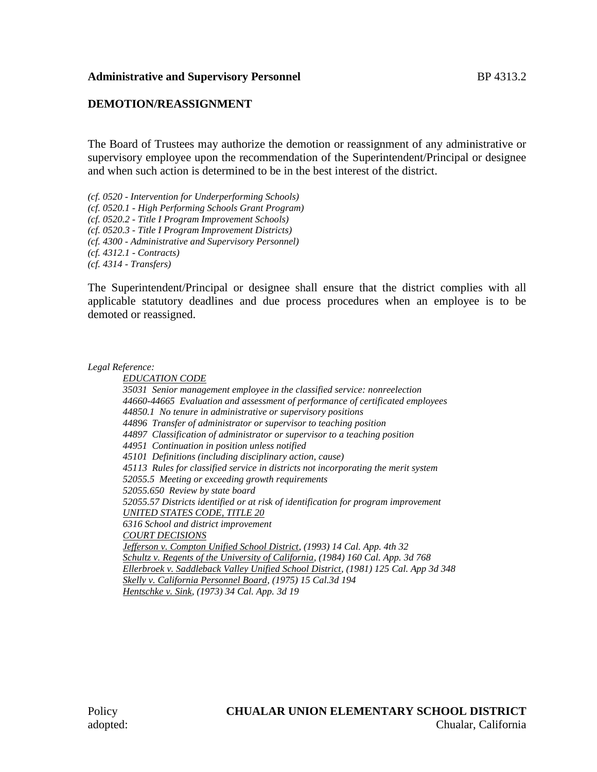## **Administrative and Supervisory Personnel Example 313.2**

## **DEMOTION/REASSIGNMENT**

The Board of Trustees may authorize the demotion or reassignment of any administrative or supervisory employee upon the recommendation of the Superintendent/Principal or designee and when such action is determined to be in the best interest of the district.

*(cf. 0520 - Intervention for Underperforming Schools) (cf. 0520.1 - High Performing Schools Grant Program) (cf. 0520.2 - Title I Program Improvement Schools) (cf. 0520.3 - Title I Program Improvement Districts) (cf. 4300 - Administrative and Supervisory Personnel) (cf. 4312.1 - Contracts) (cf. 4314 - Transfers)*

The Superintendent/Principal or designee shall ensure that the district complies with all applicable statutory deadlines and due process procedures when an employee is to be demoted or reassigned.

*Legal Reference:*

*EDUCATION CODE 35031 Senior management employee in the classified service: nonreelection 44660-44665 Evaluation and assessment of performance of certificated employees 44850.1 No tenure in administrative or supervisory positions 44896 Transfer of administrator or supervisor to teaching position 44897 Classification of administrator or supervisor to a teaching position 44951 Continuation in position unless notified 45101 Definitions (including disciplinary action, cause) 45113 Rules for classified service in districts not incorporating the merit system 52055.5 Meeting or exceeding growth requirements 52055.650 Review by state board 52055.57 Districts identified or at risk of identification for program improvement UNITED STATES CODE, TITLE 20 6316 School and district improvement COURT DECISIONS Jefferson v. Compton Unified School District, (1993) 14 Cal. App. 4th 32 Schultz v. Regents of the University of California, (1984) 160 Cal. App. 3d 768 Ellerbroek v. Saddleback Valley Unified School District, (1981) 125 Cal. App 3d 348 Skelly v. California Personnel Board, (1975) 15 Cal.3d 194 Hentschke v. Sink, (1973) 34 Cal. App. 3d 19*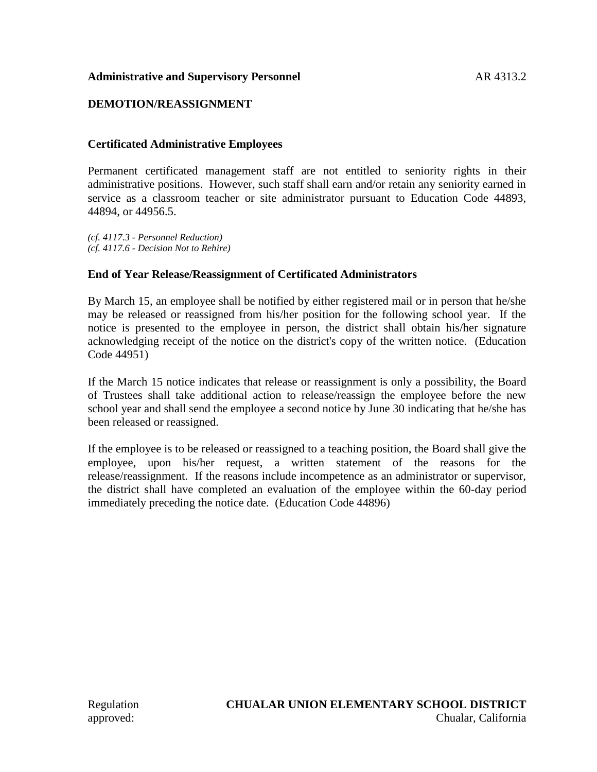## Administrative and Supervisory Personnel **AR** 4313.2

# **DEMOTION/REASSIGNMENT**

## **Certificated Administrative Employees**

Permanent certificated management staff are not entitled to seniority rights in their administrative positions. However, such staff shall earn and/or retain any seniority earned in service as a classroom teacher or site administrator pursuant to Education Code 44893, 44894, or 44956.5.

*(cf. 4117.3 - Personnel Reduction) (cf. 4117.6 - Decision Not to Rehire)*

#### **End of Year Release/Reassignment of Certificated Administrators**

By March 15, an employee shall be notified by either registered mail or in person that he/she may be released or reassigned from his/her position for the following school year. If the notice is presented to the employee in person, the district shall obtain his/her signature acknowledging receipt of the notice on the district's copy of the written notice. (Education Code 44951)

If the March 15 notice indicates that release or reassignment is only a possibility, the Board of Trustees shall take additional action to release/reassign the employee before the new school year and shall send the employee a second notice by June 30 indicating that he/she has been released or reassigned.

If the employee is to be released or reassigned to a teaching position, the Board shall give the employee, upon his/her request, a written statement of the reasons for the release/reassignment. If the reasons include incompetence as an administrator or supervisor, the district shall have completed an evaluation of the employee within the 60-day period immediately preceding the notice date. (Education Code 44896)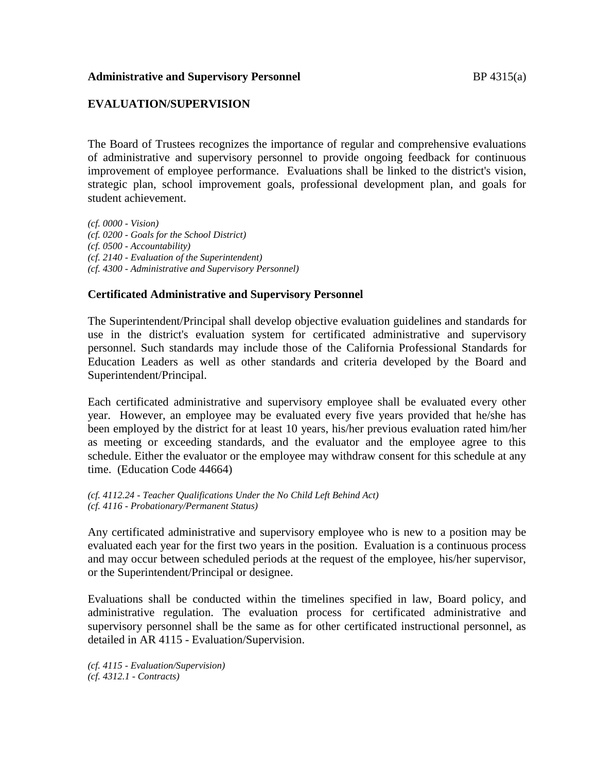#### **Administrative and Supervisory Personnel and Supervisory Personnel by BP 4315(a)**

## **EVALUATION/SUPERVISION**

The Board of Trustees recognizes the importance of regular and comprehensive evaluations of administrative and supervisory personnel to provide ongoing feedback for continuous improvement of employee performance. Evaluations shall be linked to the district's vision, strategic plan, school improvement goals, professional development plan, and goals for student achievement.

*(cf. 0000 - Vision) (cf. 0200 - Goals for the School District) (cf. 0500 - Accountability) (cf. 2140 - Evaluation of the Superintendent) (cf. 4300 - Administrative and Supervisory Personnel)*

#### **Certificated Administrative and Supervisory Personnel**

The Superintendent/Principal shall develop objective evaluation guidelines and standards for use in the district's evaluation system for certificated administrative and supervisory personnel. Such standards may include those of the California Professional Standards for Education Leaders as well as other standards and criteria developed by the Board and Superintendent/Principal.

Each certificated administrative and supervisory employee shall be evaluated every other year. However, an employee may be evaluated every five years provided that he/she has been employed by the district for at least 10 years, his/her previous evaluation rated him/her as meeting or exceeding standards, and the evaluator and the employee agree to this schedule. Either the evaluator or the employee may withdraw consent for this schedule at any time. (Education Code 44664)

*(cf. 4112.24 - Teacher Qualifications Under the No Child Left Behind Act) (cf. 4116 - Probationary/Permanent Status)*

Any certificated administrative and supervisory employee who is new to a position may be evaluated each year for the first two years in the position. Evaluation is a continuous process and may occur between scheduled periods at the request of the employee, his/her supervisor, or the Superintendent/Principal or designee.

Evaluations shall be conducted within the timelines specified in law, Board policy, and administrative regulation. The evaluation process for certificated administrative and supervisory personnel shall be the same as for other certificated instructional personnel, as detailed in AR 4115 - Evaluation/Supervision.

*(cf. 4115 - Evaluation/Supervision) (cf. 4312.1 - Contracts)*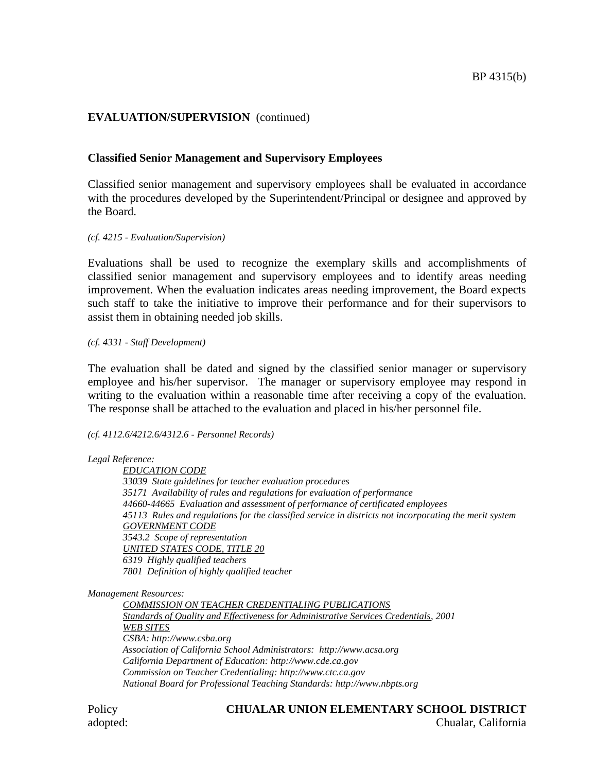# **EVALUATION/SUPERVISION** (continued)

# **Classified Senior Management and Supervisory Employees**

Classified senior management and supervisory employees shall be evaluated in accordance with the procedures developed by the Superintendent/Principal or designee and approved by the Board.

*(cf. 4215 - Evaluation/Supervision)*

Evaluations shall be used to recognize the exemplary skills and accomplishments of classified senior management and supervisory employees and to identify areas needing improvement. When the evaluation indicates areas needing improvement, the Board expects such staff to take the initiative to improve their performance and for their supervisors to assist them in obtaining needed job skills.

*(cf. 4331 - Staff Development)*

The evaluation shall be dated and signed by the classified senior manager or supervisory employee and his/her supervisor. The manager or supervisory employee may respond in writing to the evaluation within a reasonable time after receiving a copy of the evaluation. The response shall be attached to the evaluation and placed in his/her personnel file.

#### *(cf. 4112.6/4212.6/4312.6 - Personnel Records)*

*Legal Reference:*

*EDUCATION CODE 33039 State guidelines for teacher evaluation procedures 35171 Availability of rules and regulations for evaluation of performance 44660-44665 Evaluation and assessment of performance of certificated employees 45113 Rules and regulations for the classified service in districts not incorporating the merit system GOVERNMENT CODE 3543.2 Scope of representation UNITED STATES CODE, TITLE 20 6319 Highly qualified teachers 7801 Definition of highly qualified teacher*

*Management Resources:*

*COMMISSION ON TEACHER CREDENTIALING PUBLICATIONS Standards of Quality and Effectiveness for Administrative Services Credentials, 2001 WEB SITES CSBA: http://www.csba.org Association of California School Administrators: http://www.acsa.org California Department of Education: http://www.cde.ca.gov Commission on Teacher Credentialing: http://www.ctc.ca.gov National Board for Professional Teaching Standards: http://www.nbpts.org*

Policy **CHUALAR UNION ELEMENTARY SCHOOL DISTRICT** adopted: Chualar, California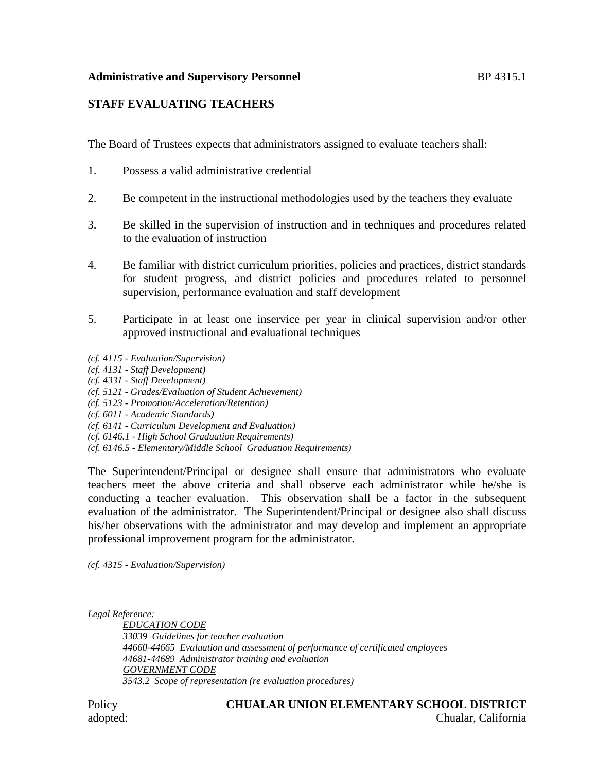## Administrative and Supervisory Personnel and Supervisory Personnel and BP 4315.1

# **STAFF EVALUATING TEACHERS**

The Board of Trustees expects that administrators assigned to evaluate teachers shall:

- 1. Possess a valid administrative credential
- 2. Be competent in the instructional methodologies used by the teachers they evaluate
- 3. Be skilled in the supervision of instruction and in techniques and procedures related to the evaluation of instruction
- 4. Be familiar with district curriculum priorities, policies and practices, district standards for student progress, and district policies and procedures related to personnel supervision, performance evaluation and staff development
- 5. Participate in at least one inservice per year in clinical supervision and/or other approved instructional and evaluational techniques
- *(cf. 4115 - Evaluation/Supervision)*
- *(cf. 4131 - Staff Development)*
- *(cf. 4331 - Staff Development)*
- *(cf. 5121 - Grades/Evaluation of Student Achievement)*
- *(cf. 5123 - Promotion/Acceleration/Retention)*
- *(cf. 6011 - Academic Standards)*
- *(cf. 6141 - Curriculum Development and Evaluation)*
- *(cf. 6146.1 - High School Graduation Requirements)*
- *(cf. 6146.5 - Elementary/Middle School Graduation Requirements)*

The Superintendent/Principal or designee shall ensure that administrators who evaluate teachers meet the above criteria and shall observe each administrator while he/she is conducting a teacher evaluation. This observation shall be a factor in the subsequent evaluation of the administrator. The Superintendent/Principal or designee also shall discuss his/her observations with the administrator and may develop and implement an appropriate professional improvement program for the administrator.

*(cf. 4315 - Evaluation/Supervision)*

*Legal Reference:*

*EDUCATION CODE 33039 Guidelines for teacher evaluation 44660-44665 Evaluation and assessment of performance of certificated employees 44681-44689 Administrator training and evaluation GOVERNMENT CODE 3543.2 Scope of representation (re evaluation procedures)*

Policy **CHUALAR UNION ELEMENTARY SCHOOL DISTRICT** adopted: Chualar, California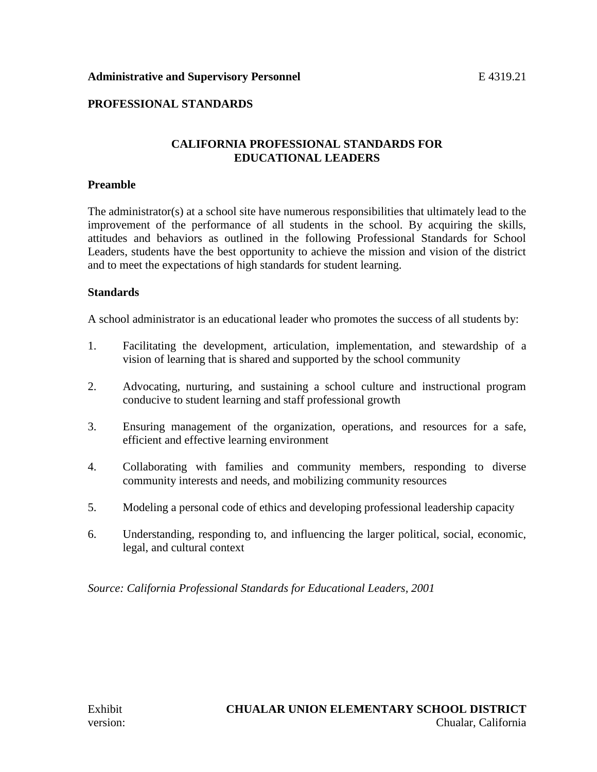## Administrative and Supervisory Personnel **E** 4319.21

## **PROFESSIONAL STANDARDS**

## **CALIFORNIA PROFESSIONAL STANDARDS FOR EDUCATIONAL LEADERS**

#### **Preamble**

The administrator(s) at a school site have numerous responsibilities that ultimately lead to the improvement of the performance of all students in the school. By acquiring the skills, attitudes and behaviors as outlined in the following Professional Standards for School Leaders, students have the best opportunity to achieve the mission and vision of the district and to meet the expectations of high standards for student learning.

#### **Standards**

A school administrator is an educational leader who promotes the success of all students by:

- 1. Facilitating the development, articulation, implementation, and stewardship of a vision of learning that is shared and supported by the school community
- 2. Advocating, nurturing, and sustaining a school culture and instructional program conducive to student learning and staff professional growth
- 3. Ensuring management of the organization, operations, and resources for a safe, efficient and effective learning environment
- 4. Collaborating with families and community members, responding to diverse community interests and needs, and mobilizing community resources
- 5. Modeling a personal code of ethics and developing professional leadership capacity
- 6. Understanding, responding to, and influencing the larger political, social, economic, legal, and cultural context

*Source: California Professional Standards for Educational Leaders, 2001*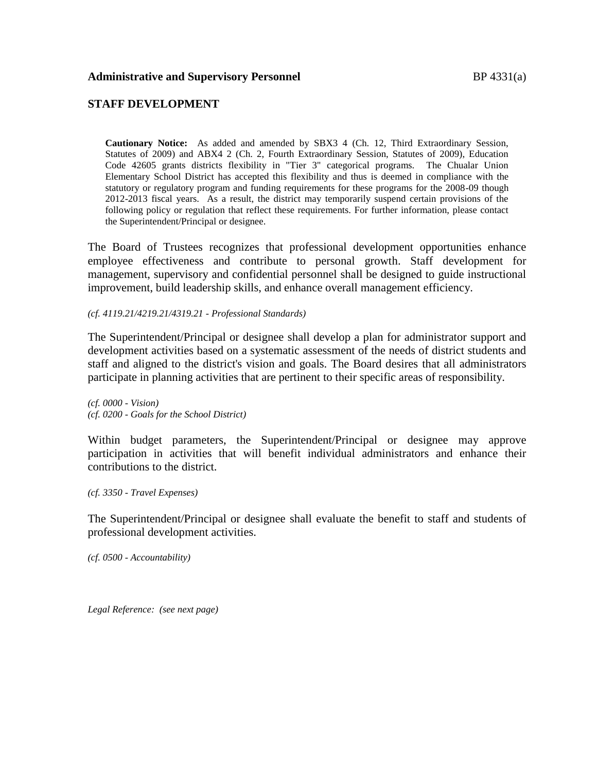## **STAFF DEVELOPMENT**

**Cautionary Notice:** As added and amended by SBX3 4 (Ch. 12, Third Extraordinary Session, Statutes of 2009) and ABX4 2 (Ch. 2, Fourth Extraordinary Session, Statutes of 2009), Education Code 42605 grants districts flexibility in "Tier 3" categorical programs. The Chualar Union Elementary School District has accepted this flexibility and thus is deemed in compliance with the statutory or regulatory program and funding requirements for these programs for the 2008-09 though 2012-2013 fiscal years. As a result, the district may temporarily suspend certain provisions of the following policy or regulation that reflect these requirements. For further information, please contact the Superintendent/Principal or designee.

The Board of Trustees recognizes that professional development opportunities enhance employee effectiveness and contribute to personal growth. Staff development for management, supervisory and confidential personnel shall be designed to guide instructional improvement, build leadership skills, and enhance overall management efficiency.

*(cf. 4119.21/4219.21/4319.21 - Professional Standards)*

The Superintendent/Principal or designee shall develop a plan for administrator support and development activities based on a systematic assessment of the needs of district students and staff and aligned to the district's vision and goals. The Board desires that all administrators participate in planning activities that are pertinent to their specific areas of responsibility.

*(cf. 0000 - Vision) (cf. 0200 - Goals for the School District)*

Within budget parameters, the Superintendent/Principal or designee may approve participation in activities that will benefit individual administrators and enhance their contributions to the district.

*(cf. 3350 - Travel Expenses)*

The Superintendent/Principal or designee shall evaluate the benefit to staff and students of professional development activities.

*(cf. 0500 - Accountability)*

*Legal Reference: (see next page)*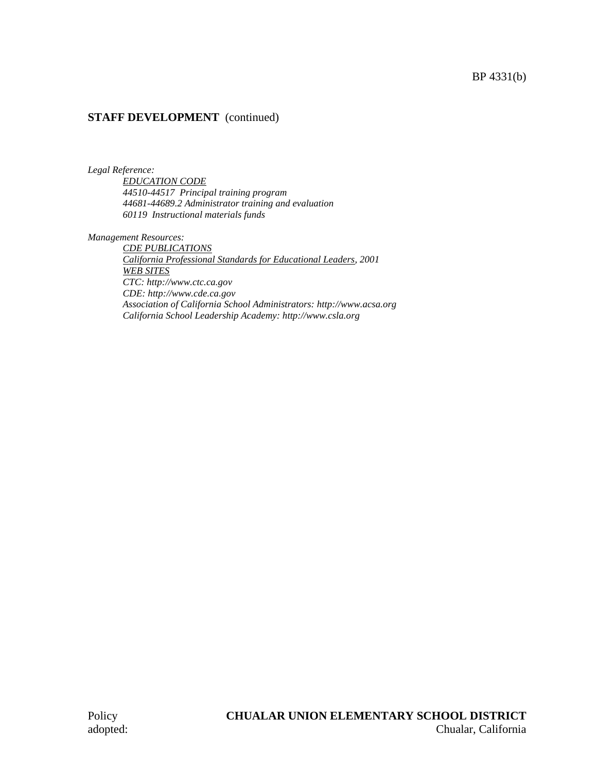## BP 4331(b)

## **STAFF DEVELOPMENT** (continued)

*Legal Reference:*

*EDUCATION CODE 44510-44517 Principal training program 44681-44689.2 Administrator training and evaluation 60119 Instructional materials funds*

*Management Resources:*

*CDE PUBLICATIONS California Professional Standards for Educational Leaders, 2001 WEB SITES CTC: http://www.ctc.ca.gov CDE: http://www.cde.ca.gov Association of California School Administrators: http://www.acsa.org California School Leadership Academy: http://www.csla.org*